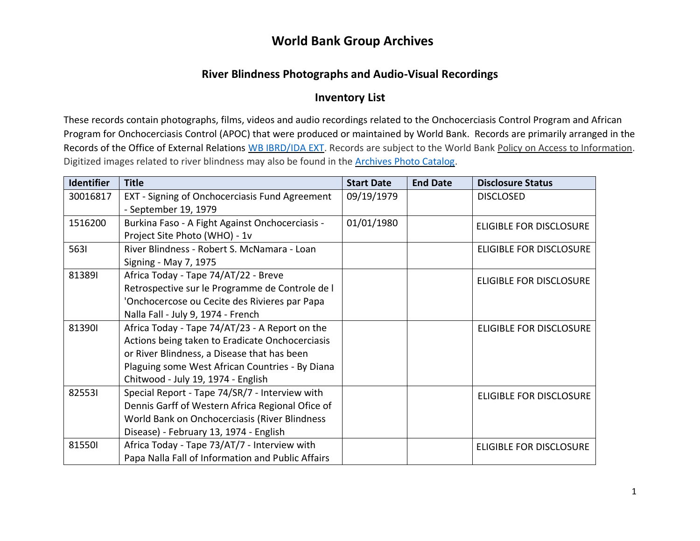#### **River Blindness Photographs and Audio-Visual Recordings**

#### **Inventory List**

These records contain photographs, films, videos and audio recordings related to the Onchocerciasis Control Program and African Program for Onchocerciasis Control (APOC) that were produced or maintained by World Bank. Records are primarily arranged in the Records of the Office of External Relations [WB IBRD/IDA EXT.](https://archivesholdings.worldbank.org/records-of-office-of-external-relations) Records are subject to the World Bank [Policy on Access to Information.](https://www.worldbank.org/en/access-to-information) Digitized images related to river blindness may also be found in the [Archives Photo Catalog.](https://archivesphotos.worldbank.org/en/about/archives/photo-gallery/photo-gallery-landing?qterm=river+blindness&x=12&y=14)

| <b>Identifier</b> | <b>Title</b>                                      | <b>Start Date</b> | <b>End Date</b> | <b>Disclosure Status</b>       |
|-------------------|---------------------------------------------------|-------------------|-----------------|--------------------------------|
| 30016817          | EXT - Signing of Onchocerciasis Fund Agreement    | 09/19/1979        |                 | <b>DISCLOSED</b>               |
|                   | - September 19, 1979                              |                   |                 |                                |
| 1516200           | Burkina Faso - A Fight Against Onchocerciasis -   | 01/01/1980        |                 | <b>ELIGIBLE FOR DISCLOSURE</b> |
|                   | Project Site Photo (WHO) - 1v                     |                   |                 |                                |
| 5631              | River Blindness - Robert S. McNamara - Loan       |                   |                 | <b>ELIGIBLE FOR DISCLOSURE</b> |
|                   | Signing - May 7, 1975                             |                   |                 |                                |
| 813891            | Africa Today - Tape 74/AT/22 - Breve              |                   |                 | <b>ELIGIBLE FOR DISCLOSURE</b> |
|                   | Retrospective sur le Programme de Controle de l   |                   |                 |                                |
|                   | 'Onchocercose ou Cecite des Rivieres par Papa     |                   |                 |                                |
|                   | Nalla Fall - July 9, 1974 - French                |                   |                 |                                |
| 813901            | Africa Today - Tape 74/AT/23 - A Report on the    |                   |                 | <b>ELIGIBLE FOR DISCLOSURE</b> |
|                   | Actions being taken to Eradicate Onchocerciasis   |                   |                 |                                |
|                   | or River Blindness, a Disease that has been       |                   |                 |                                |
|                   | Plaguing some West African Countries - By Diana   |                   |                 |                                |
|                   | Chitwood - July 19, 1974 - English                |                   |                 |                                |
| 825531            | Special Report - Tape 74/SR/7 - Interview with    |                   |                 | <b>ELIGIBLE FOR DISCLOSURE</b> |
|                   | Dennis Garff of Western Africa Regional Ofice of  |                   |                 |                                |
|                   | World Bank on Onchocerciasis (River Blindness     |                   |                 |                                |
|                   | Disease) - February 13, 1974 - English            |                   |                 |                                |
| 815501            | Africa Today - Tape 73/AT/7 - Interview with      |                   |                 | <b>ELIGIBLE FOR DISCLOSURE</b> |
|                   | Papa Nalla Fall of Information and Public Affairs |                   |                 |                                |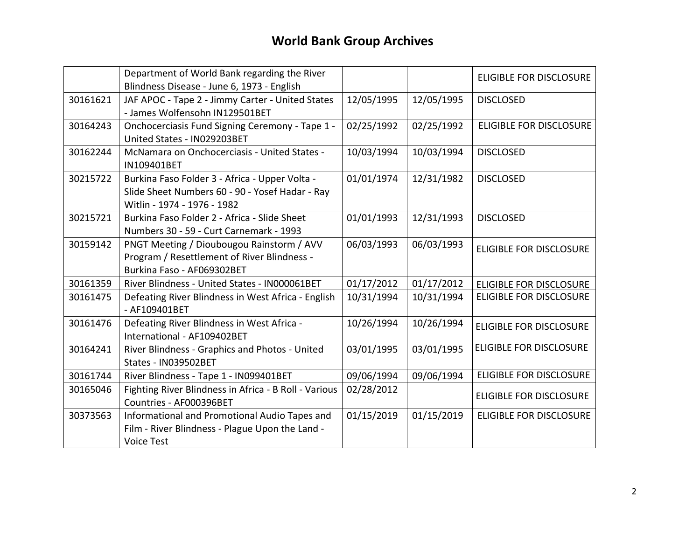|          | Department of World Bank regarding the River<br>Blindness Disease - June 6, 1973 - English                                       |            |            | <b>ELIGIBLE FOR DISCLOSURE</b> |
|----------|----------------------------------------------------------------------------------------------------------------------------------|------------|------------|--------------------------------|
| 30161621 | JAF APOC - Tape 2 - Jimmy Carter - United States<br>- James Wolfensohn IN129501BET                                               | 12/05/1995 | 12/05/1995 | <b>DISCLOSED</b>               |
| 30164243 | Onchocerciasis Fund Signing Ceremony - Tape 1 -<br>United States - IN029203BET                                                   | 02/25/1992 | 02/25/1992 | <b>ELIGIBLE FOR DISCLOSURE</b> |
| 30162244 | McNamara on Onchocerciasis - United States -<br>IN109401BET                                                                      | 10/03/1994 | 10/03/1994 | <b>DISCLOSED</b>               |
| 30215722 | Burkina Faso Folder 3 - Africa - Upper Volta -<br>Slide Sheet Numbers 60 - 90 - Yosef Hadar - Ray<br>Witlin - 1974 - 1976 - 1982 | 01/01/1974 | 12/31/1982 | <b>DISCLOSED</b>               |
| 30215721 | Burkina Faso Folder 2 - Africa - Slide Sheet<br>Numbers 30 - 59 - Curt Carnemark - 1993                                          | 01/01/1993 | 12/31/1993 | <b>DISCLOSED</b>               |
| 30159142 | PNGT Meeting / Dioubougou Rainstorm / AVV<br>Program / Resettlement of River Blindness -<br>Burkina Faso - AF069302BET           | 06/03/1993 | 06/03/1993 | <b>ELIGIBLE FOR DISCLOSURE</b> |
| 30161359 | River Blindness - United States - IN000061BET                                                                                    | 01/17/2012 | 01/17/2012 | <b>ELIGIBLE FOR DISCLOSURE</b> |
| 30161475 | Defeating River Blindness in West Africa - English<br>- AF109401BET                                                              | 10/31/1994 | 10/31/1994 | <b>ELIGIBLE FOR DISCLOSURE</b> |
| 30161476 | Defeating River Blindness in West Africa -<br>International - AF109402BET                                                        | 10/26/1994 | 10/26/1994 | <b>ELIGIBLE FOR DISCLOSURE</b> |
| 30164241 | River Blindness - Graphics and Photos - United<br>States - IN039502BET                                                           | 03/01/1995 | 03/01/1995 | <b>ELIGIBLE FOR DISCLOSURE</b> |
| 30161744 | River Blindness - Tape 1 - IN099401BET                                                                                           | 09/06/1994 | 09/06/1994 | <b>ELIGIBLE FOR DISCLOSURE</b> |
| 30165046 | Fighting River Blindness in Africa - B Roll - Various<br>Countries - AF000396BET                                                 | 02/28/2012 |            | <b>ELIGIBLE FOR DISCLOSURE</b> |
| 30373563 | Informational and Promotional Audio Tapes and<br>Film - River Blindness - Plague Upon the Land -<br><b>Voice Test</b>            | 01/15/2019 | 01/15/2019 | <b>ELIGIBLE FOR DISCLOSURE</b> |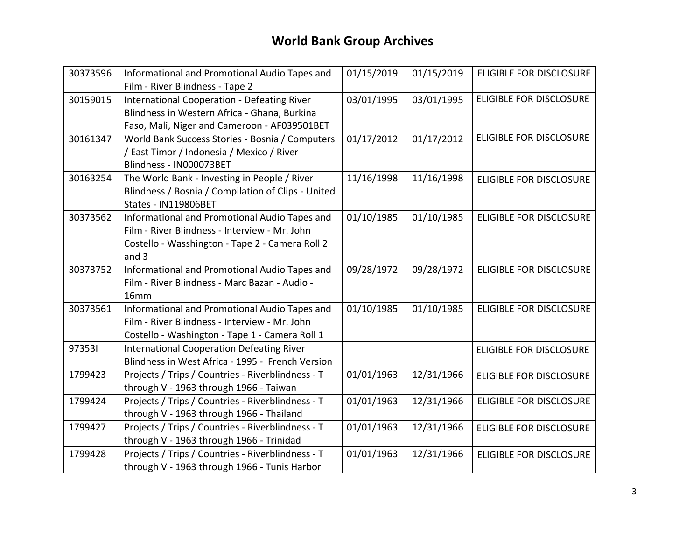| 30373596 | Informational and Promotional Audio Tapes and<br>Film - River Blindness - Tape 2                                                                           | 01/15/2019 | 01/15/2019 | <b>ELIGIBLE FOR DISCLOSURE</b> |
|----------|------------------------------------------------------------------------------------------------------------------------------------------------------------|------------|------------|--------------------------------|
| 30159015 | International Cooperation - Defeating River<br>Blindness in Western Africa - Ghana, Burkina<br>Faso, Mali, Niger and Cameroon - AF039501BET                | 03/01/1995 | 03/01/1995 | <b>ELIGIBLE FOR DISCLOSURE</b> |
| 30161347 | World Bank Success Stories - Bosnia / Computers<br>/ East Timor / Indonesia / Mexico / River<br>Blindness - IN000073BET                                    | 01/17/2012 | 01/17/2012 | <b>ELIGIBLE FOR DISCLOSURE</b> |
| 30163254 | The World Bank - Investing in People / River<br>Blindness / Bosnia / Compilation of Clips - United<br>States - IN119806BET                                 | 11/16/1998 | 11/16/1998 | <b>ELIGIBLE FOR DISCLOSURE</b> |
| 30373562 | Informational and Promotional Audio Tapes and<br>Film - River Blindness - Interview - Mr. John<br>Costello - Wasshington - Tape 2 - Camera Roll 2<br>and 3 | 01/10/1985 | 01/10/1985 | <b>ELIGIBLE FOR DISCLOSURE</b> |
| 30373752 | Informational and Promotional Audio Tapes and<br>Film - River Blindness - Marc Bazan - Audio -<br>16mm                                                     | 09/28/1972 | 09/28/1972 | <b>ELIGIBLE FOR DISCLOSURE</b> |
| 30373561 | Informational and Promotional Audio Tapes and<br>Film - River Blindness - Interview - Mr. John<br>Costello - Washington - Tape 1 - Camera Roll 1           | 01/10/1985 | 01/10/1985 | <b>ELIGIBLE FOR DISCLOSURE</b> |
| 973531   | <b>International Cooperation Defeating River</b><br>Blindness in West Africa - 1995 - French Version                                                       |            |            | <b>ELIGIBLE FOR DISCLOSURE</b> |
| 1799423  | Projects / Trips / Countries - Riverblindness - T<br>through V - 1963 through 1966 - Taiwan                                                                | 01/01/1963 | 12/31/1966 | <b>ELIGIBLE FOR DISCLOSURE</b> |
| 1799424  | Projects / Trips / Countries - Riverblindness - T<br>through V - 1963 through 1966 - Thailand                                                              | 01/01/1963 | 12/31/1966 | <b>ELIGIBLE FOR DISCLOSURE</b> |
| 1799427  | Projects / Trips / Countries - Riverblindness - T<br>through V - 1963 through 1966 - Trinidad                                                              | 01/01/1963 | 12/31/1966 | <b>ELIGIBLE FOR DISCLOSURE</b> |
| 1799428  | Projects / Trips / Countries - Riverblindness - T<br>through V - 1963 through 1966 - Tunis Harbor                                                          | 01/01/1963 | 12/31/1966 | <b>ELIGIBLE FOR DISCLOSURE</b> |